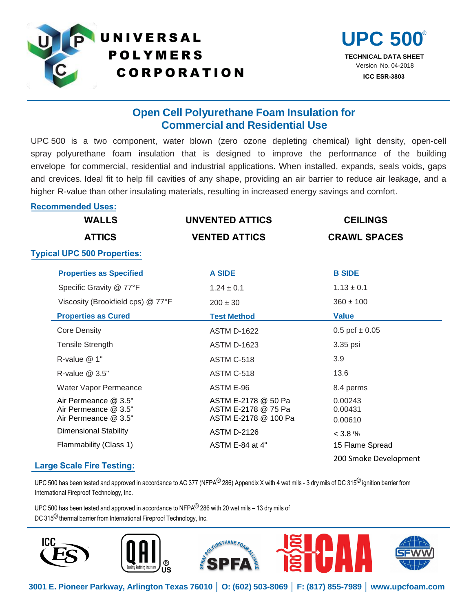

# UNIVERSAL UPC 500 **POLYMERS** C O R P O R A T I O N



# **Open Cell Polyurethane Foam Insulation for Commercial and Residential Use**

UPC.500 is a two component, water blown (zero ozone depleting chemical) light density, open-cell spray polyurethane foam insulation that is designed to improve the performance of the building envelope for commercial, residential and industrial applications. When installed, expands, seals voids, gaps and crevices. Ideal fit to help fill cavities of any shape, providing an air barrier to reduce air leakage, and a higher R-value than other insulating materials, resulting in increased energy savings and comfort.

### **Recommended Uses:**

| <b>WALLS</b>                       | UNVENTED ATTICS      | <b>CEILINGS</b>     |
|------------------------------------|----------------------|---------------------|
| <b>ATTICS</b>                      | <b>VENTED ATTICS</b> | <b>CRAWL SPACES</b> |
| <b>Typical UPC 500 Properties:</b> |                      |                     |

| <b>Properties as Specified</b>                                       | <b>A SIDE</b>                                                      | <b>B SIDE</b>                 |
|----------------------------------------------------------------------|--------------------------------------------------------------------|-------------------------------|
|                                                                      |                                                                    |                               |
| Specific Gravity @ 77°F                                              | $1.24 \pm 0.1$                                                     | $1.13 \pm 0.1$                |
| Viscosity (Brookfield cps) @ 77°F                                    | $200 \pm 30$                                                       | $360 \pm 100$                 |
| <b>Properties as Cured</b>                                           | <b>Test Method</b>                                                 | <b>Value</b>                  |
| <b>Core Density</b>                                                  | <b>ASTM D-1622</b>                                                 | $0.5$ pcf $\pm 0.05$          |
| <b>Tensile Strength</b>                                              | <b>ASTM D-1623</b>                                                 | 3.35 psi                      |
| R-value @ 1"                                                         | ASTM C-518                                                         | 3.9                           |
| R-value $@3.5"$                                                      | ASTM C-518                                                         | 13.6                          |
| Water Vapor Permeance                                                | ASTM E-96                                                          | 8.4 perms                     |
| Air Permeance @ 3.5"<br>Air Permeance @ 3.5"<br>Air Permeance @ 3.5" | ASTM E-2178 @ 50 Pa<br>ASTM E-2178 @ 75 Pa<br>ASTM E-2178 @ 100 Pa | 0.00243<br>0.00431<br>0.00610 |
| <b>Dimensional Stability</b>                                         | <b>ASTM D-2126</b>                                                 | < 3.8 %                       |
| Flammability (Class 1)                                               | ASTM E-84 at 4"                                                    | 15 Flame Spread               |
|                                                                      |                                                                    | 200 Smoke Development         |

## **Large Scale Fire Testing:**

UPC 500 has been tested and approved in accordance to AC 377 (NFPA® 286) Appendix X with 4 wet mils - 3 dry mils of DC 315<sup>©</sup> ignition barrier from International Fireproof Technology, Inc.

UPC 500 has been tested and approved in accordance to NFPA $^{(0)}$  286 with 20 wet mils – 13 dry mils of DC 315<sup>©</sup> thermal barrier from International Fireproof Technology, Inc.